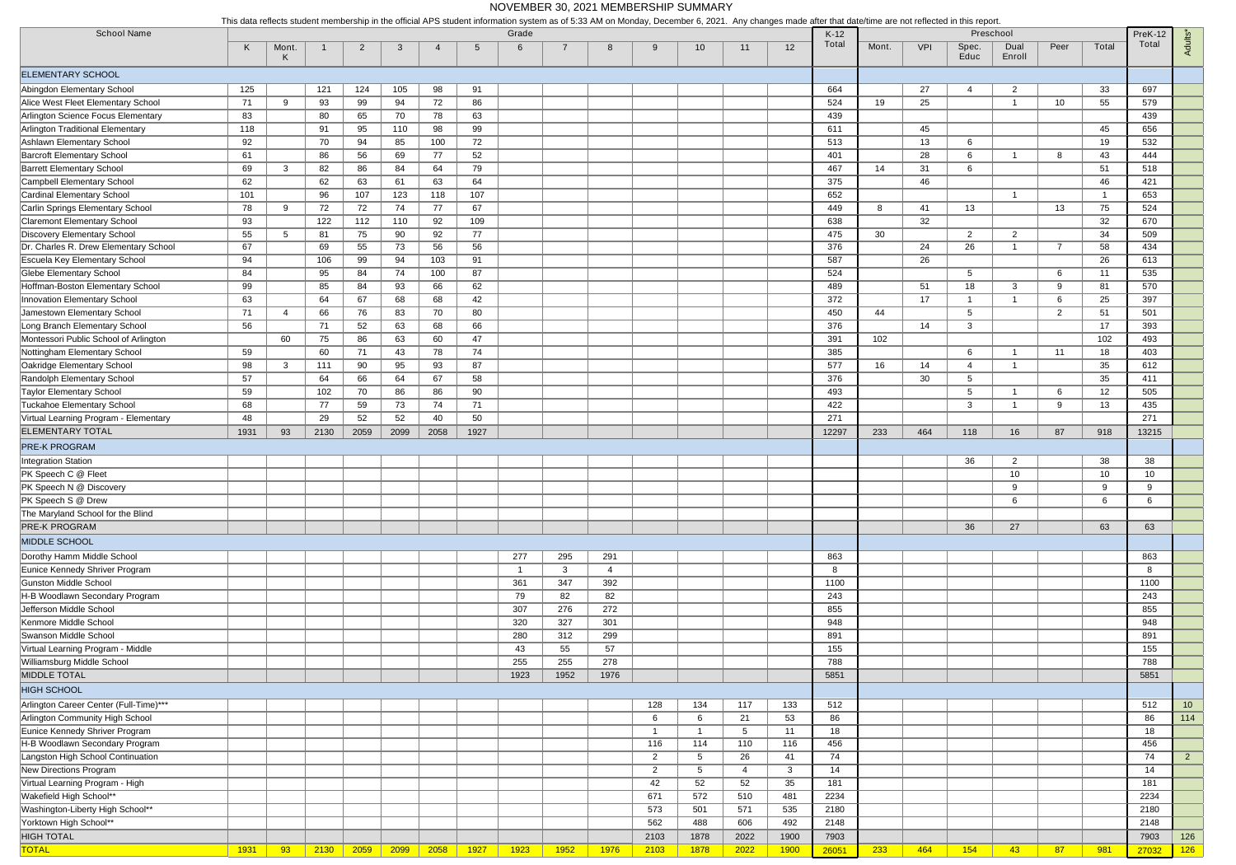|                                                         | This uata reflects student membership in the official AFS student mionifiation system as of 0.00 AM on Monday, December 0, 2021. Any changes made after that date/time are not reflected in this report. |              |          |                |          |                |           |                |      |                |                |                 |      |             |        |       |     |                 |                 |                |                |         |                 |
|---------------------------------------------------------|----------------------------------------------------------------------------------------------------------------------------------------------------------------------------------------------------------|--------------|----------|----------------|----------|----------------|-----------|----------------|------|----------------|----------------|-----------------|------|-------------|--------|-------|-----|-----------------|-----------------|----------------|----------------|---------|-----------------|
| <b>School Name</b>                                      |                                                                                                                                                                                                          |              |          |                |          |                |           | Grade          |      |                |                |                 |      |             | $K-12$ |       |     |                 | Preschool       |                |                | PreK-12 |                 |
|                                                         | K                                                                                                                                                                                                        | Mont.<br>-K  |          | $\overline{2}$ | -3       | $\overline{4}$ | -5        | 6              | -7   | 8              | -9             | 10 <sup>°</sup> | 11   | 12          | Total  | Mont. | VPI | Spec.<br>Educ   | Dual<br>Enroll  | Peer           | Total          | Total   | <b>Adults'</b>  |
| <b>ELEMENTARY SCHOOL</b>                                |                                                                                                                                                                                                          |              |          |                |          |                |           |                |      |                |                |                 |      |             |        |       |     |                 |                 |                |                |         |                 |
| Abingdon Elementary School                              | 125                                                                                                                                                                                                      |              | 121      | 124            | 105      | 98             | 91        |                |      |                |                |                 |      |             | 664    |       | 27  | 4               | $\overline{2}$  |                | 33             | 697     |                 |
| Alice West Fleet Elementary School                      | 71                                                                                                                                                                                                       | 9            | 93       | 99             | 94       | 72             | 86        |                |      |                |                |                 |      |             | 524    | 19    | 25  |                 |                 | 10             | 55             | 579     |                 |
| Arlington Science Focus Elementary                      | 83                                                                                                                                                                                                       |              | 80       | 65             | 70       | 78             | 63        |                |      |                |                |                 |      |             | 439    |       |     |                 |                 |                |                | 439     |                 |
| Arlington Traditional Elementary                        | 118                                                                                                                                                                                                      |              | 91       | 95             | 110      | 98             | 99        |                |      |                |                |                 |      |             | 611    |       | 45  |                 |                 |                | 45             | 656     |                 |
| Ashlawn Elementary School                               | 92                                                                                                                                                                                                       |              | 70       | 94             | 85       | 100            | 72        |                |      |                |                |                 |      |             | 513    |       | 13  | 6               |                 |                | 19             | 532     |                 |
| <b>Barcroft Elementary School</b>                       | 61                                                                                                                                                                                                       |              | 86       | 56             | 69       | 77             | 52        |                |      |                |                |                 |      |             | 401    |       | 28  | 6               |                 | 8              | 43             | 444     |                 |
| <b>Barrett Elementary School</b>                        | 69                                                                                                                                                                                                       | 3            | 82       | 86             | 84       | 64             | 79        |                |      |                |                |                 |      |             | 467    | 14    | 31  | 6               |                 |                | 51             | 518     |                 |
| <b>Campbell Elementary School</b>                       | 62                                                                                                                                                                                                       |              | 62       | 63             | 61       | 63             | 64        |                |      |                |                |                 |      |             | 375    |       | 46  |                 |                 |                | 46             | 421     |                 |
| Cardinal Elementary School                              | 101                                                                                                                                                                                                      |              | 96       | 107            | 123      | 118            | 107       |                |      |                |                |                 |      |             | 652    |       |     |                 | -1              |                | $\overline{1}$ | 653     |                 |
| Carlin Springs Elementary School                        | 78                                                                                                                                                                                                       | -9           | 72       | 72             | 74       | 77             | 67        |                |      |                |                |                 |      |             | 449    | 8     | 41  | 13              |                 | 13             | 75             | 524     |                 |
| <b>Claremont Elementary School</b>                      |                                                                                                                                                                                                          |              | 122      | 112            | 110      | 92             |           |                |      |                |                |                 |      |             | 638    |       | 32  |                 |                 |                | 32             | 670     |                 |
| Discovery Elementary School                             | 93<br>55                                                                                                                                                                                                 | -5           | 81       | 75             |          | 92             | 109<br>77 |                |      |                |                |                 |      |             | 475    | 30    |     | $\overline{2}$  | $\overline{2}$  |                | 34             | 509     |                 |
| Dr. Charles R. Drew Elementary School                   | 67                                                                                                                                                                                                       |              | 69       | 55             | 90<br>73 | 56             | 56        |                |      |                |                |                 |      |             | 376    |       | 24  | 26              |                 | -7             | 58             | 434     |                 |
| Escuela Key Elementary School                           | 94                                                                                                                                                                                                       |              | 106      | 99             | 94       |                | 91        |                |      |                |                |                 |      |             | 587    |       | 26  |                 |                 |                | 26             | 613     |                 |
| Glebe Elementary School                                 | 84                                                                                                                                                                                                       |              |          | 84             | 74       | 103            | 87        |                |      |                |                |                 |      |             | 524    |       |     | $5\overline{)}$ |                 | 6              | 11             | 535     |                 |
| Hoffman-Boston Elementary School                        |                                                                                                                                                                                                          |              | 95       | 84             |          | 100<br>66      | 62        |                |      |                |                |                 |      |             | 489    |       | 51  | 18              | 3               | 9              | 81             | 570     |                 |
| Innovation Elementary School                            | 99                                                                                                                                                                                                       |              | 85<br>64 | 67             | 93<br>68 | 68             | 42        |                |      |                |                |                 |      |             | 372    |       | 17  | $\overline{1}$  | -1              | 6              | 25             | 397     |                 |
| Jamestown Elementary School                             | 63<br>71                                                                                                                                                                                                 | -4           |          |                |          |                | 80        |                |      |                |                |                 |      |             | 450    | 44    |     | $5\overline{)}$ |                 | $\overline{2}$ | 51             | 501     |                 |
| Long Branch Elementary School                           |                                                                                                                                                                                                          |              | 66       | 76             | 83       | 70             |           |                |      |                |                |                 |      |             | 376    |       |     |                 |                 |                | 17             | 393     |                 |
| Montessori Public School of Arlington                   | 56                                                                                                                                                                                                       |              | 71<br>75 | 52<br>86       | 63       | 68             | 66<br>47  |                |      |                |                |                 |      |             | 391    | 102   | 14  | $\mathbf{3}$    |                 |                | 102            | 493     |                 |
| Nottingham Elementary School                            |                                                                                                                                                                                                          | 60           | 60       | 71             | 63       | 60             | 74        |                |      |                |                |                 |      |             | 385    |       |     | 6               |                 | 11             | 18             | 403     |                 |
| Oakridge Elementary School                              | 59                                                                                                                                                                                                       | $\mathbf{3}$ | 111      | 90             | 43<br>95 | 78<br>93       | 87        |                |      |                |                |                 |      |             | 577    | 16    | 14  | $\overline{4}$  | -1              |                | 35             | 612     |                 |
| Randolph Elementary School                              | 98<br>57                                                                                                                                                                                                 |              | 64       | 66             | 64       | 67             | 58        |                |      |                |                |                 |      |             | 376    |       | 30  | $5\overline{)}$ |                 |                | 35             | 411     |                 |
| <b>Taylor Elementary School</b>                         | 59                                                                                                                                                                                                       |              | 102      | 70             | 86       | 86             | 90        |                |      |                |                |                 |      |             | 493    |       |     | $5\overline{)}$ |                 | 6              | 12             | 505     |                 |
| <b>Tuckahoe Elementary School</b>                       | 68                                                                                                                                                                                                       |              | 77       | 59             | 73       | 74             | 71        |                |      |                |                |                 |      |             | 422    |       |     | 3               | -1              | 9              | 13             | 435     |                 |
| Virtual Learning Program - Elementary                   | 48                                                                                                                                                                                                       |              | 29       | 52             | 52       | 40             | 50        |                |      |                |                |                 |      |             | 271    |       |     |                 |                 |                |                | 271     |                 |
| <b>ELEMENTARY TOTAL</b>                                 | 1931                                                                                                                                                                                                     | 93           | 2130     | 2059           | 2099     | 2058           | 1927      |                |      |                |                |                 |      |             | 12297  | 233   | 464 | 118             | 16              | 87             | 918            | 13215   |                 |
|                                                         |                                                                                                                                                                                                          |              |          |                |          |                |           |                |      |                |                |                 |      |             |        |       |     |                 |                 |                |                |         |                 |
| <b>PRE-K PROGRAM</b>                                    |                                                                                                                                                                                                          |              |          |                |          |                |           |                |      |                |                |                 |      |             |        |       |     |                 |                 |                |                |         |                 |
| <b>Integration Station</b>                              |                                                                                                                                                                                                          |              |          |                |          |                |           |                |      |                |                |                 |      |             |        |       |     | 36              | $\overline{2}$  |                | 38             | 38      |                 |
| PK Speech C @ Fleet                                     |                                                                                                                                                                                                          |              |          |                |          |                |           |                |      |                |                |                 |      |             |        |       |     |                 | 10<br>9         |                | 10             | 10<br>9 |                 |
| PK Speech N @ Discovery                                 |                                                                                                                                                                                                          |              |          |                |          |                |           |                |      |                |                |                 |      |             |        |       |     |                 | 6               |                | 9<br>6         | 6       |                 |
| PK Speech S @ Drew<br>The Maryland School for the Blind |                                                                                                                                                                                                          |              |          |                |          |                |           |                |      |                |                |                 |      |             |        |       |     |                 |                 |                |                |         |                 |
| PRE-K PROGRAM                                           |                                                                                                                                                                                                          |              |          |                |          |                |           |                |      |                |                |                 |      |             |        |       |     |                 | 27              |                |                |         |                 |
|                                                         |                                                                                                                                                                                                          |              |          |                |          |                |           |                |      |                |                |                 |      |             |        |       |     | 36              |                 |                | 63             | 63      |                 |
| MIDDLE SCHOOL                                           |                                                                                                                                                                                                          |              |          |                |          |                |           |                |      |                |                |                 |      |             |        |       |     |                 |                 |                |                |         |                 |
| Dorothy Hamm Middle School                              |                                                                                                                                                                                                          |              |          |                |          |                |           | 277            | 295  | 291            |                |                 |      |             | 863    |       |     |                 |                 |                |                | 863     |                 |
| Eunice Kennedy Shriver Program                          |                                                                                                                                                                                                          |              |          |                |          |                |           | $\overline{1}$ | 3    | $\overline{4}$ |                |                 |      |             | 8      |       |     |                 |                 |                |                | 8       |                 |
| <b>Gunston Middle School</b>                            |                                                                                                                                                                                                          |              |          |                |          |                |           | 361            | 347  | 392            |                |                 |      |             | 1100   |       |     |                 |                 |                |                | 1100    |                 |
| H-B Woodlawn Secondary Program                          |                                                                                                                                                                                                          |              |          |                |          |                |           | 79             | 82   | 82             |                |                 |      |             | 243    |       |     |                 |                 |                |                | 243     |                 |
| Jefferson Middle School                                 |                                                                                                                                                                                                          |              |          |                |          |                |           | 307            | 276  | 272            |                |                 |      |             | 855    |       |     |                 |                 |                |                | 855     |                 |
| Kenmore Middle School                                   |                                                                                                                                                                                                          |              |          |                |          |                |           | 320            | 327  | 301            |                |                 |      |             | 948    |       |     |                 |                 |                |                | 948     |                 |
| Swanson Middle School                                   |                                                                                                                                                                                                          |              |          |                |          |                |           | 280            | 312  | 299            |                |                 |      |             | 891    |       |     |                 |                 |                |                | 891     |                 |
| Virtual Learning Program - Middle                       |                                                                                                                                                                                                          |              |          |                |          |                |           | 43             | 55   | 57             |                |                 |      |             | 155    |       |     |                 |                 |                |                | 155     |                 |
| Williamsburg Middle School                              |                                                                                                                                                                                                          |              |          |                |          |                |           | 255            | 255  | 278            |                |                 |      |             | 788    |       |     |                 |                 |                |                | 788     |                 |
| <b>MIDDLE TOTAL</b>                                     |                                                                                                                                                                                                          |              |          |                |          |                |           | 1923           | 1952 | 1976           |                |                 |      |             | 5851   |       |     |                 |                 |                |                | 5851    |                 |
| <b>HIGH SCHOOL</b>                                      |                                                                                                                                                                                                          |              |          |                |          |                |           |                |      |                |                |                 |      |             |        |       |     |                 |                 |                |                |         |                 |
| Arlington Career Center (Full-Time)***                  |                                                                                                                                                                                                          |              |          |                |          |                |           |                |      |                | 128            | 134             | 117  | 133         | 512    |       |     |                 |                 |                |                | 512     | 10 <sup>°</sup> |
| Arlington Community High School                         |                                                                                                                                                                                                          |              |          |                |          |                |           |                |      |                | 6              | 6               | 21   | 53          | 86     |       |     |                 |                 |                |                | 86      | 114             |
| Eunice Kennedy Shriver Program                          |                                                                                                                                                                                                          |              |          |                |          |                |           |                |      |                | $\overline{1}$ | $\overline{1}$  | 5    | 11          | 18     |       |     |                 |                 |                |                | 18      |                 |
| H-B Woodlawn Secondary Program                          |                                                                                                                                                                                                          |              |          |                |          |                |           |                |      |                | 116            | 114             | 110  | 116         | 456    |       |     |                 |                 |                |                | 456     |                 |
| Langston High School Continuation                       |                                                                                                                                                                                                          |              |          |                |          |                |           |                |      |                | $\overline{2}$ | 5               | 26   | 41          | 74     |       |     |                 |                 |                |                | 74      | $2^{\circ}$     |
| New Directions Program                                  |                                                                                                                                                                                                          |              |          |                |          |                |           |                |      |                | $\overline{2}$ | 5               | 4    | 3           | 14     |       |     |                 |                 |                |                | 14      |                 |
| Virtual Learning Program - High                         |                                                                                                                                                                                                          |              |          |                |          |                |           |                |      |                | 42             | 52              | 52   | 35          | 181    |       |     |                 |                 |                |                | 181     |                 |
| Wakefield High School**                                 |                                                                                                                                                                                                          |              |          |                |          |                |           |                |      |                | 671            | 572             | 510  | 481         | 2234   |       |     |                 |                 |                |                | 2234    |                 |
| Washington-Liberty High School**                        |                                                                                                                                                                                                          |              |          |                |          |                |           |                |      |                | 573            | 501             | 571  | 535         | 2180   |       |     |                 |                 |                |                | 2180    |                 |
| Yorktown High School**                                  |                                                                                                                                                                                                          |              |          |                |          |                |           |                |      |                | 562            | 488             | 606  | 492         | 2148   |       |     |                 |                 |                |                | 2148    |                 |
| <b>HIGH TOTAL</b>                                       |                                                                                                                                                                                                          |              |          |                |          |                |           |                |      |                | 2103           | 1878            | 2022 | 1900        | 7903   |       |     |                 |                 |                |                | 7903    | 126             |
| <b>TOTAL</b>                                            | 1931                                                                                                                                                                                                     | 93           | 2130     | 2059           | 2099     | 2058           | 1927      | 1923           | 1952 | 1976           | 2103           | 1878            | 2022 | <b>1900</b> | 26051  | 233   | 464 | 154             | 43 <sup>°</sup> | 87             | 981            | 27032   | 126             |

This data reflects student membership in the official APS student information system as of 5:33 AM on Monday, December 6, 2021. Any changes made after that date/time are not reflected in this report.

## NOVEMBER 30, 2021 MEMBERSHIP SUMMARY